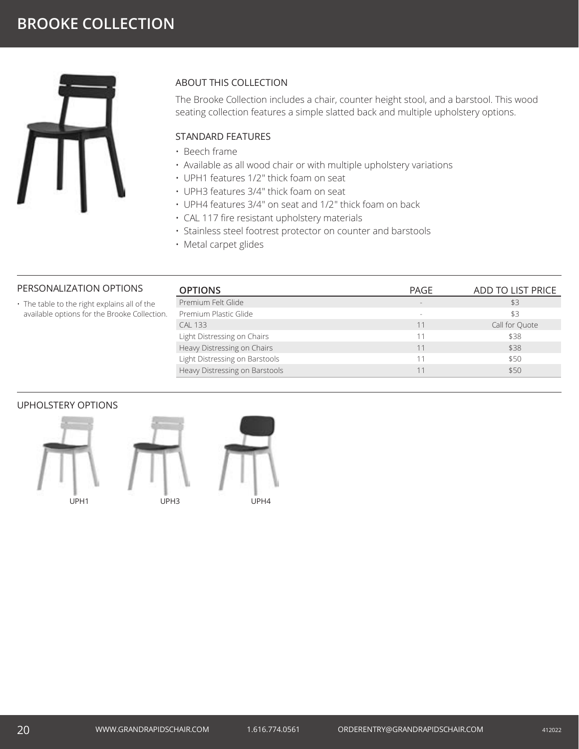

# ABOUT THIS COLLECTION

The Brooke Collection includes a chair, counter height stool, and a barstool. This wood seating collection features a simple slatted back and multiple upholstery options.

# STANDARD FEATURES

- Beech frame
- Available as all wood chair or with multiple upholstery variations
- UPH1 features 1/2" thick foam on seat
- UPH3 features 3/4" thick foam on seat
- UPH4 features 3/4" on seat and 1/2" thick foam on back
- CAL 117 fire resistant upholstery materials
- Stainless steel footrest protector on counter and barstools
- Metal carpet glides

## PERSONALIZATION OPTIONS

• The table to the right explains all of the available options for the Brooke Collection.

| <b>OPTIONS</b>                 | PAGE   | ADD TO LIST PRICE |
|--------------------------------|--------|-------------------|
| Premium Felt Glide             |        | \$3               |
| Premium Plastic Glide          | $\sim$ | \$3               |
| <b>CAL 133</b>                 | 11     | Call for Ouote    |
| Light Distressing on Chairs    | 11     | \$38              |
| Heavy Distressing on Chairs    | 11     | \$38              |
| Light Distressing on Barstools |        | \$50              |
| Heavy Distressing on Barstools |        | \$50              |

## UPHOLSTERY OPTIONS





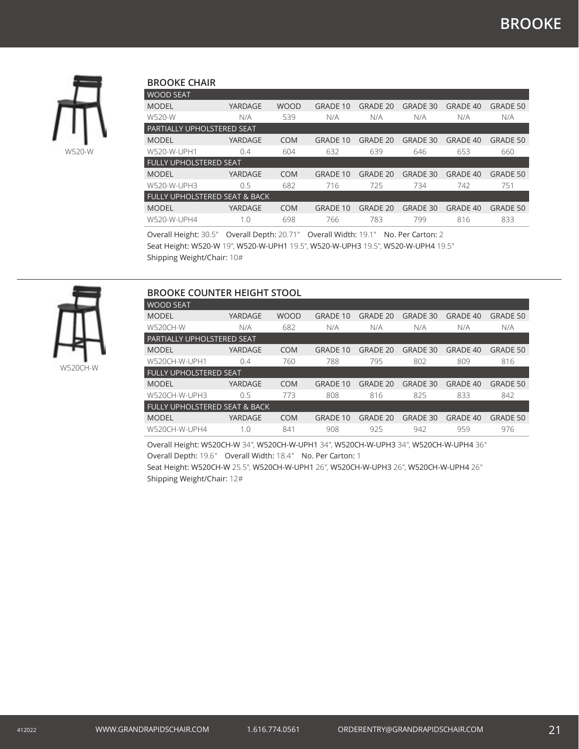

### **BROOKE CHAIR**

| <b>WOOD SEAT</b>                         |         |             |                 |                 |                 |                 |                 |  |  |
|------------------------------------------|---------|-------------|-----------------|-----------------|-----------------|-----------------|-----------------|--|--|
| <b>MODEL</b>                             | YARDAGE | <b>WOOD</b> | <b>GRADE 10</b> | <b>GRADE 20</b> | <b>GRADE 30</b> | <b>GRADE 40</b> | <b>GRADE 50</b> |  |  |
| W520-W                                   | N/A     | 539         | N/A             | N/A             | N/A             | N/A             | N/A             |  |  |
| PARTIALLY UPHOLSTERED SEAT               |         |             |                 |                 |                 |                 |                 |  |  |
| <b>MODEL</b>                             | YARDAGE | <b>COM</b>  | <b>GRADE 10</b> | <b>GRADE 20</b> | <b>GRADE 30</b> | <b>GRADE 40</b> | <b>GRADE 50</b> |  |  |
| W520-W-UPH1                              | 0.4     | 604         | 632             | 639             | 646             | 653             | 660             |  |  |
| <b>FULLY UPHOLSTERED SEAT</b>            |         |             |                 |                 |                 |                 |                 |  |  |
| <b>MODEL</b>                             | YARDAGE | <b>COM</b>  | <b>GRADE 10</b> | <b>GRADE 20</b> | <b>GRADE 30</b> | <b>GRADE 40</b> | GRADE 50        |  |  |
| W520-W-UPH3                              | 0.5     | 682         | 716             | 725             | 734             | 742             | 751             |  |  |
| <b>FULLY UPHOLSTERED SEAT &amp; BACK</b> |         |             |                 |                 |                 |                 |                 |  |  |
| <b>MODEL</b>                             | YARDAGE | <b>COM</b>  | <b>GRADE 10</b> | <b>GRADE 20</b> | <b>GRADE 30</b> | <b>GRADE 40</b> | GRADE 50        |  |  |
| W520-W-UPH4                              |         |             |                 |                 | 799             |                 | 833             |  |  |

Overall Height: 30.5" Overall Depth: 20.71" Overall Width: 19.1" No. Per Carton: 2 Seat Height: W520-W 19", W520-W-UPH1 19.5", W520-W-UPH3 19.5", W520-W-UPH4 19.5" Shipping Weight/Chair: 10#

| <b>BROOKE COUNTER HEIGHT STOOL</b>       |         |             |                 |                 |          |          |                 |  |
|------------------------------------------|---------|-------------|-----------------|-----------------|----------|----------|-----------------|--|
| <b>WOOD SEAT</b>                         |         |             |                 |                 |          |          |                 |  |
| <b>MODEL</b>                             | YARDAGE | <b>WOOD</b> | <b>GRADE 10</b> | GRADE 20        | GRADE 30 | GRADE 40 | <b>GRADE 50</b> |  |
| W520CH-W                                 | N/A     | 682         | N/A             | N/A             | N/A      | N/A      | N/A             |  |
| PARTIALLY UPHOLSTERED SEAT               |         |             |                 |                 |          |          |                 |  |
| <b>MODEL</b>                             | YARDAGE | <b>COM</b>  | <b>GRADE 10</b> | <b>GRADE 20</b> | GRADE 30 | GRADE 40 | <b>GRADE 50</b> |  |
| W520CH-W-UPH1                            | 0.4     | 760         | 788             | 795             | 802      | 809      | 816             |  |
| <b>FULLY UPHOLSTERED SEAT</b>            |         |             |                 |                 |          |          |                 |  |
| <b>MODEL</b>                             | YARDAGE | <b>COM</b>  | <b>GRADE 10</b> | <b>GRADE 20</b> | GRADE 30 | GRADE 40 | <b>GRADE 50</b> |  |
| W520CH-W-UPH3                            | 0.5     | 773         | 808             | 816             | 825      | 833      | 842             |  |
| <b>FULLY UPHOLSTERED SEAT &amp; BACK</b> |         |             |                 |                 |          |          |                 |  |
| <b>MODEL</b>                             | YARDAGE | <b>COM</b>  | <b>GRADE 10</b> | GRADE 20        | GRADE 30 | GRADE 40 | GRADE 50        |  |
| W520CH-W-UPH4                            | 1.0     | 841         | 908             | 925             | 942      | 959      | 976             |  |

Overall Height: W520CH-W 34", W520CH-W-UPH1 34", W520CH-W-UPH3 34", W520CH-W-UPH4 36" Overall Depth: 19.6" Overall Width: 18.4" No. Per Carton: 1 Seat Height: W520CH-W 25.5", W520CH-W-UPH1 26", W520CH-W-UPH3 26", W520CH-W-UPH4 26" Shipping Weight/Chair: 12#

W520CH-W